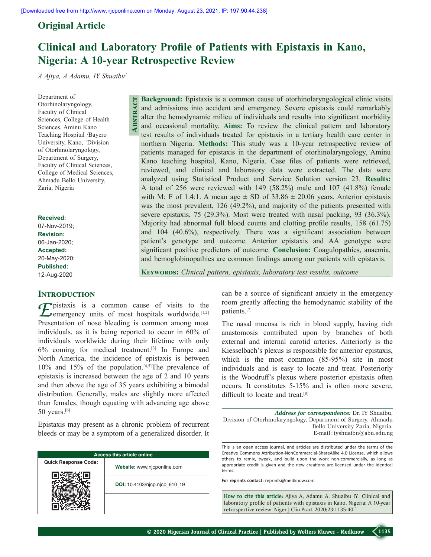**Abstract**

# **Original Article**

# **Clinical and Laboratory Profile of Patients with Epistaxis in Kano, Nigeria: A 10-year Retrospective Review**

*A Ajiya, A Adamu, IY Shuaibu1*

Department of Otorhinolaryngology, Faculty of Clinical Sciences, College of Health Sciences, Aminu Kano Teaching Hospital /Bayero University, Kano, <sup>1</sup>Division of Otorhinolaryngology, Department of Surgery, Faculty of Clinical Sciences, College of Medical Sciences, Ahmadu Bello University, Zaria, Nigeria

**Received:**

07-Nov-2019; **Revision:** 06-Jan-2020; **Accepted:** 20-May-2020; **Published:** 12-Aug-2020

#### **INTRODUCTION**

**F** pistaxis is a common cause of visits to the  $\sum$  emergency units of most hospitals worldwide.<sup>[1,2]</sup> Presentation of nose bleeding is common among most individuals, as it is being reported to occur in 60% of individuals worldwide during their lifetime with only 6% coming for medical treatment.[3] In Europe and North America, the incidence of epistaxis is between 10% and 15% of the population.[4,5]The prevalence of epistaxis is increased between the age of 2 and 10 years and then above the age of 35 years exhibiting a bimodal distribution. Generally, males are slightly more affected than females, though equating with advancing age above 50 years.[6]

Epistaxis may present as a chronic problem of recurrent bleeds or may be a symptom of a generalized disorder. It

| <b>Access this article online</b> |                               |  |  |
|-----------------------------------|-------------------------------|--|--|
| <b>Quick Response Code:</b>       | Website: www.njcponline.com   |  |  |
|                                   | DOI: 10.4103/njcp.njcp 610 19 |  |  |
|                                   |                               |  |  |

**Background:** Epistaxis is a common cause of otorhinolaryngological clinic visits and admissions into accident and emergency. Severe epistaxis could remarkably alter the hemodynamic milieu of individuals and results into significant morbidity and occasional mortality. **Aims:** To review the clinical pattern and laboratory test results of individuals treated for epistaxis in a tertiary health care center in northern Nigeria. **Methods:** This study was a 10‑year retrospective review of patients managed for epistaxis in the department of otorhinolaryngology, Aminu Kano teaching hospital, Kano, Nigeria. Case files of patients were retrieved, reviewed, and clinical and laboratory data were extracted. The data were analyzed using Statistical Product and Service Solution version 23. **Results:**  A total of 256 were reviewed with 149 (58.2%) male and 107 (41.8%) female with M: F of 1.4:1. A mean age  $\pm$  SD of 33.86  $\pm$  20.06 years. Anterior epistaxis was the most prevalent, 126 (49.2%), and majority of the patients presented with severe epistaxis, 75 (29.3%). Most were treated with nasal packing, 93 (36.3%). Majority had abnormal full blood counts and clotting profile results, 158 (61.75) and 104 (40.6%), respectively. There was a significant association between patient's genotype and outcome. Anterior epistaxis and AA genotype were significant positive predictors of outcome. **Conclusion:** Coagulopathies, anaemia, and hemoglobinopathies are common findings among our patients with epistaxis.

**KEYWORDS:** Clinical pattern, epistaxis, laboratory test results, outcome

can be a source of significant anxiety in the emergency room greatly affecting the hemodynamic stability of the patients.[7]

The nasal mucosa is rich in blood supply, having rich anastomosis contributed upon by branches of both external and internal carotid arteries. Anteriorly is the Kiesselbach's plexus is responsible for anterior epistaxis, which is the most common (85-95%) site in most individuals and is easy to locate and treat. Posteriorly is the Woodruff's plexus where posterior epistaxis often occurs. It constitutes 5-15% and is often more severe, difficult to locate and treat.<sup>[8]</sup>

*Address for correspondence:* Dr. IY Shuaibu, Division of Otorhinolaryngology, Department of Surgery, Ahmadu Bello University Zaria, Nigeria. E‑mail: iyshuaibu@abu.edu.ng

This is an open access journal, and articles are distributed under the terms of the Creative Commons Attribution‑NonCommercial‑ShareAlike 4.0 License, which allows others to remix, tweak, and build upon the work non‑commercially, as long as appropriate credit is given and the new creations are licensed under the identical terms.

**For reprints contact:** reprints@medknow.com

**How to cite this article:** Ajiya A, Adamu A, Shuaibu IY. Clinical and laboratory profile of patients with epistaxis in Kano, Nigeria: A 10-year retrospective review. Niger J Clin Pract 2020;23:1135-40.`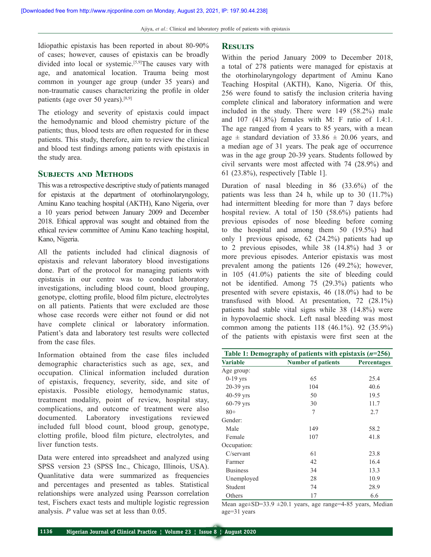Idiopathic epistaxis has been reported in about 80-90% of cases; however, causes of epistaxis can be broadly divided into local or systemic.<sup>[5,9]</sup>The causes vary with age, and anatomical location. Trauma being most common in younger age group (under 35 years) and non‑traumatic causes characterizing the profile in older patients (age over 50 years).[8,9]

The etiology and severity of epistaxis could impact the hemodynamic and blood chemistry picture of the patients; thus, blood tests are often requested for in these patients. This study, therefore, aim to review the clinical and blood test findings among patients with epistaxis in the study area.

## **Subjects and Methods**

This was a retrospective descriptive study of patients managed for epistaxis at the department of otorhinolaryngology, Aminu Kano teaching hospital (AKTH), Kano Nigeria, over a 10 years period between January 2009 and December 2018. Ethical approval was sought and obtained from the ethical review committee of Aminu Kano teaching hospital, Kano, Nigeria.

All the patients included had clinical diagnosis of epistaxis and relevant laboratory blood investigations done. Part of the protocol for managing patients with epistaxis in our centre was to conduct laboratory investigations, including blood count, blood grouping, genotype, clotting profile, blood film picture, electrolytes on all patients. Patients that were excluded are those whose case records were either not found or did not have complete clinical or laboratory information. Patient's data and laboratory test results were collected from the case files.

Information obtained from the case files included demographic characteristics such as age, sex, and occupation. Clinical information included duration of epistaxis, frequency, severity, side, and site of epistaxis. Possible etiology, hemodynamic status, treatment modality, point of review, hospital stay, complications, and outcome of treatment were also documented. Laboratory investigations reviewed included full blood count, blood group, genotype, clotting profile, blood film picture, electrolytes, and liver function tests.

Data were entered into spreadsheet and analyzed using SPSS version 23 (SPSS Inc., Chicago, Illinois, USA). Quanlitative data were summarized as frequencies and percentages and presented as tables. Statistical relationships were analyzed using Pearsson correlation test, Fischers exact tests and multiple logistic regression analysis. *P* value was set at less than 0.05.

### **Results**

Within the period January 2009 to December 2018, a total of 278 patients were managed for epistaxis at the otorhinolaryngology department of Aminu Kano Teaching Hospital (AKTH), Kano, Nigeria. Of this, 256 were found to satisfy the inclusion criteria having complete clinical and laboratory information and were included in the study. There were 149 (58.2%) male and 107 (41.8%) females with M: F ratio of 1.4:1. The age ranged from 4 years to 85 years, with a mean age  $\pm$  standard deviation of 33.86  $\pm$  20.06 years, and a median age of 31 years. The peak age of occurrence was in the age group 20-39 years. Students followed by civil servants were most affected with 74 (28.9%) and 61 (23.8%), respectively [Table 1].

Duration of nasal bleeding in 86 (33.6%) of the patients was less than 24 h, while up to 30 (11.7%) had intermittent bleeding for more than 7 days before hospital review. A total of 150 (58.6%) patients had previous episodes of nose bleeding before coming to the hospital and among them 50 (19.5%) had only 1 previous episode, 62 (24.2%) patients had up to 2 previous episodes, while 38 (14.8%) had 3 or more previous episodes. Anterior epistaxis was most prevalent among the patients 126 (49.2%); however, in 105 (41.0%) patients the site of bleeding could not be identified. Among 75 (29.3%) patients who presented with severe epistaxis, 46 (18.0%) had to be transfused with blood. At presentation, 72 (28.1%) patients had stable vital signs while 38 (14.8%) were in hypovolaemic shock. Left nasal bleeding was most common among the patients 118 (46.1%). 92 (35.9%) of the patients with epistaxis were first seen at the

| Table 1: Demography of patients with epistaxis $(n=256)$ |                           |                    |  |
|----------------------------------------------------------|---------------------------|--------------------|--|
| <b>Variable</b>                                          | <b>Number of patients</b> | <b>Percentages</b> |  |
| Age group:                                               |                           |                    |  |
| $0-19$ yrs                                               | 65                        | 25.4               |  |
| 20-39 yrs                                                | 104                       | 40.6               |  |
| $40-59$ yrs                                              | 50                        | 19.5               |  |
| $60-79$ yrs                                              | 30                        | 11.7               |  |
| $80+$                                                    | 7                         | 2.7                |  |
| Gender:                                                  |                           |                    |  |
| Male                                                     | 149                       | 58.2               |  |
| Female                                                   | 107                       | 41.8               |  |
| Occupation:                                              |                           |                    |  |
| $C$ /servant                                             | 61                        | 23.8               |  |
| Farmer                                                   | 42                        | 16.4               |  |
| <b>Business</b>                                          | 34                        | 13.3               |  |
| Unemployed                                               | 28                        | 10.9               |  |
| Student                                                  | 74                        | 28.9               |  |
| Others                                                   | 17                        | 6.6                |  |

Mean age±SD=33.9 ±20.1 years, age range=4-85 years, Median age=31 years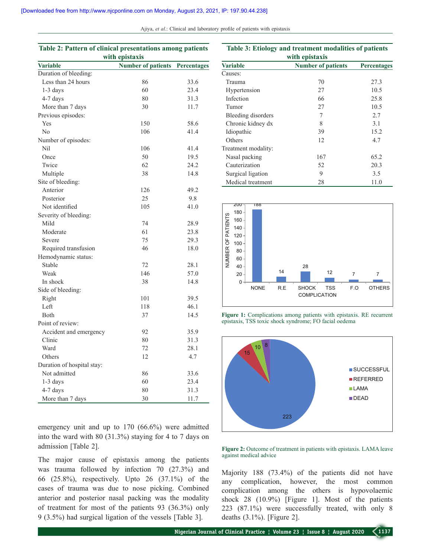| Table 2: Pattern of clinical presentations among patients<br>with epistaxis |                           |                    |  |
|-----------------------------------------------------------------------------|---------------------------|--------------------|--|
| <b>Variable</b>                                                             | <b>Number of patients</b> | <b>Percentages</b> |  |
| Duration of bleeding:                                                       |                           |                    |  |
| Less than 24 hours                                                          | 86                        | 33.6               |  |
| $1-3$ days                                                                  | 60                        | 23.4               |  |
| 4-7 days                                                                    | 80                        | 31.3               |  |
| More than 7 days                                                            | 30                        | 11.7               |  |
| Previous episodes:                                                          |                           |                    |  |
| Yes                                                                         | 150                       | 58.6               |  |
| No                                                                          | 106                       | 41.4               |  |
| Number of episodes:                                                         |                           |                    |  |
| Nil                                                                         | 106                       | 41.4               |  |
| Once                                                                        | 50                        | 19.5               |  |
| Twice                                                                       | 62                        | 24.2               |  |
| Multiple                                                                    | 38                        | 14.8               |  |
| Site of bleeding:                                                           |                           |                    |  |
| Anterior                                                                    | 126                       | 49.2               |  |
| Posterior                                                                   | 25                        | 9.8                |  |
| Not identified                                                              | 105                       | 41.0               |  |
| Severity of bleeding:                                                       |                           |                    |  |
| Mild                                                                        | 74                        | 28.9               |  |
| Moderate                                                                    | 61                        | 23.8               |  |
| Severe                                                                      | 75                        | 29.3               |  |
| Required transfusion                                                        | 46                        | 18.0               |  |
| Hemodynamic status:                                                         |                           |                    |  |
| Stable                                                                      | 72                        | 28.1               |  |
| Weak                                                                        | 146                       | 57.0               |  |
| In shock                                                                    | 38                        | 14.8               |  |
| Side of bleeding:                                                           |                           |                    |  |
| Right                                                                       | 101                       | 39.5               |  |
| Left                                                                        | 118                       | 46.1               |  |
| Both                                                                        | 37                        | 14.5               |  |
| Point of review:                                                            |                           |                    |  |
| Accident and emergency                                                      | 92                        | 35.9               |  |
| Clinic                                                                      | 80                        | 31.3               |  |
| Ward                                                                        | 72                        | 28.1               |  |
| Others                                                                      | 12                        | 4.7                |  |
| Duration of hospital stay:                                                  |                           |                    |  |
| Not admitted                                                                | 86                        | 33.6               |  |
| 1-3 days                                                                    | 60                        | 23.4               |  |
| 4-7 days                                                                    | 80                        | 31.3               |  |
| More than 7 days                                                            | 30                        | 11.7               |  |

emergency unit and up to 170 (66.6%) were admitted into the ward with 80 (31.3%) staying for 4 to 7 days on admission [Table 2].

The major cause of epistaxis among the patients was trauma followed by infection 70 (27.3%) and 66 (25.8%), respectively. Upto 26 (37.1%) of the cases of trauma was due to nose picking. Combined anterior and posterior nasal packing was the modality of treatment for most of the patients 93 (36.3%) only 9 (3.5%) had surgical ligation of the vessels [Table 3].

| Table 3: Etiology and treatment modalities of patients |
|--------------------------------------------------------|
| with epistaxis                                         |

| мин срвталь         |                           |                    |  |  |
|---------------------|---------------------------|--------------------|--|--|
| <b>Variable</b>     | <b>Number of patients</b> | <b>Percentages</b> |  |  |
| Causes:             |                           |                    |  |  |
| Trauma              | 70                        | 27.3               |  |  |
| Hypertension        | 27                        | 10.5               |  |  |
| Infection           | 66                        | 25.8               |  |  |
| Tumor               | 27                        | 10.5               |  |  |
| Bleeding disorders  | 7                         | 2.7                |  |  |
| Chronic kidney dx   | 8                         | 3.1                |  |  |
| Idiopathic          | 39                        | 15.2               |  |  |
| Others              | 12                        | 4.7                |  |  |
| Treatment modality: |                           |                    |  |  |
| Nasal packing       | 167                       | 65.2               |  |  |
| Cauterization       | 52                        | 20.3               |  |  |
| Surgical ligation   | 9                         | 3.5                |  |  |
| Medical treatment   | 28                        | 11.0               |  |  |



**Figure 1:** Complications among patients with epistaxis. RE recurrent epistaxis, TSS toxic shock syndrome; FO facial oedema



**Figure 2:** Outcome of treatment in patients with epistaxis. LAMA leave against medical advice

Majority 188 (73.4%) of the patients did not have any complication, however, the most common complication among the others is hypovolaemic shock 28 (10.9%) [Figure 1]. Most of the patients 223 (87.1%) were successfully treated, with only 8 deaths (3.1%). [Figure 2].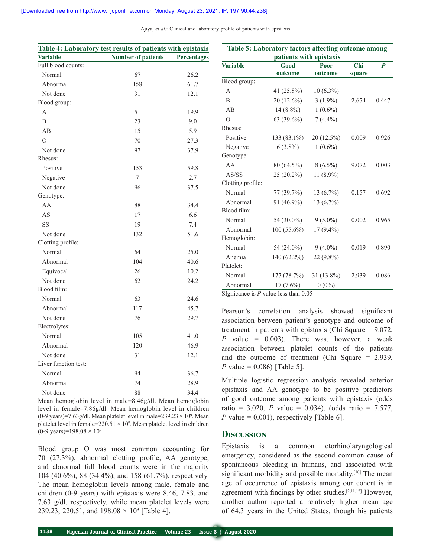| Table 4: Laboratory test results of patients with epistaxis |                           |             |  |
|-------------------------------------------------------------|---------------------------|-------------|--|
| <b>Variable</b>                                             | <b>Number of patients</b> | Percentages |  |
| Full blood counts:                                          |                           |             |  |
| Normal                                                      | 67                        | 26.2        |  |
| Abnormal                                                    | 158                       | 61.7        |  |
| Not done                                                    | 31                        | 12.1        |  |
| Blood group:                                                |                           |             |  |
| A                                                           | 51                        | 19.9        |  |
| B                                                           | 23                        | 9.0         |  |
| AB                                                          | 15                        | 5.9         |  |
| $\Omega$                                                    | 70                        | 27.3        |  |
| Not done                                                    | 97                        | 37.9        |  |
| Rhesus:                                                     |                           |             |  |
| Positive                                                    | 153                       | 59.8        |  |
| Negative                                                    | 7                         | 2.7         |  |
| Not done                                                    | 96                        | 37.5        |  |
| Genotype:                                                   |                           |             |  |
| AA                                                          | 88                        | 34.4        |  |
| AS                                                          | 17                        | 6.6         |  |
| SS                                                          | 19                        | 7.4         |  |
| Not done                                                    | 132                       | 51.6        |  |
| Clotting profile:                                           |                           |             |  |
| Normal                                                      | 64                        | 25.0        |  |
| Abnormal                                                    | 104                       | 40.6        |  |
| Equivocal                                                   | 26                        | 10.2        |  |
| Not done                                                    | 62                        | 24.2        |  |
| Blood film:                                                 |                           |             |  |
| Normal                                                      | 63                        | 24.6        |  |
| Abnormal                                                    | 117                       | 45.7        |  |
| Not done                                                    | 76                        | 29.7        |  |
| Electrolytes:                                               |                           |             |  |
| Normal                                                      | 105                       | 41.0        |  |
| Abnormal                                                    | 120                       | 46.9        |  |
| Not done                                                    | 31                        | 12.1        |  |
| Liver function test:                                        |                           |             |  |
| Normal                                                      | 94                        | 36.7        |  |
| Abnormal                                                    | 74                        | 28.9        |  |
| Not done                                                    | 88                        | 34.4        |  |

Mean hemoglobin level in male=8.46g/dl. Mean hemoglobin level in female=7.86g/dl. Mean hemoglobin level in children  $(0-9 \text{ years})$ =7.63g/dl. Mean platelet level in male=239.23  $\times$  10<sup>9</sup>. Mean platelet level in female= $220.51 \times 10^9$ . Mean platelet level in children (0-9 years)=198.08  $\times$  10<sup>9</sup>

Blood group O was most common accounting for 70 (27.3%), abnormal clotting profile, AA genotype, and abnormal full blood counts were in the majority 104 (40.6%), 88 (34.4%), and 158 (61.7%), respectively. The mean hemoglobin levels among male, female and children (0-9 years) with epistaxis were 8.46, 7.83, and 7.63 g/dl, respectively, while mean platelet levels were 239.23, 220.51, and  $198.08 \times 10^9$  [Table 4].

| Table 5: Laboratory factors affecting outcome among |               |             |        |                  |
|-----------------------------------------------------|---------------|-------------|--------|------------------|
| patients with epistaxis                             |               |             |        |                  |
| <b>Variable</b>                                     | Good          | Poor        | Chi    | $\boldsymbol{P}$ |
|                                                     | outcome       | outcome     | square |                  |
| Blood group:                                        |               |             |        |                  |
| A                                                   | 41 (25.8%)    | $10(6.3\%)$ |        |                  |
| B                                                   | 20 (12.6%)    | $3(1.9\%)$  | 2.674  | 0.447            |
| AB                                                  | $14(8.8\%)$   | $1(0.6\%)$  |        |                  |
| $\Omega$                                            | 63 (39.6%)    | $7(4.4\%)$  |        |                  |
| Rhesus:                                             |               |             |        |                  |
| Positive                                            | 133 (83.1%)   | 20 (12.5%)  | 0.009  | 0.926            |
| Negative                                            | $6(3.8\%)$    | $1(0.6\%)$  |        |                  |
| Genotype:                                           |               |             |        |                  |
| AA                                                  | 80 (64.5%)    | $8(6.5\%)$  | 9.072  | 0.003            |
| AS/SS                                               | 25 (20.2%)    | 11 (8.9%)   |        |                  |
| Clotting profile:                                   |               |             |        |                  |
| Normal                                              | 77 (39.7%)    | $13(6.7\%)$ | 0.157  | 0.692            |
| Abnormal                                            | 91 (46.9%)    | $13(6.7\%)$ |        |                  |
| Blood film:                                         |               |             |        |                  |
| Normal                                              | 54 (30.0%)    | $9(5.0\%)$  | 0.002  | 0.965            |
| Abnormal                                            | $100(55.6\%)$ | 17 (9.4%)   |        |                  |
| Hemoglobin:                                         |               |             |        |                  |
| Normal                                              | 54 (24.0%)    | $9(4.0\%)$  | 0.019  | 0.890            |
| Anemia                                              | 140 (62.2%)   | 22 (9.8%)   |        |                  |
| Platelet:                                           |               |             |        |                  |
| Normal                                              | 177(78.7%)    | 31 (13.8%)  | 2.939  | 0.086            |
| Abnormal<br>$CT_{\text{max}}$                       | $17(7.6\%)$   | $0(0\%)$    |        |                  |

SIgnicance is *P* value less than 0.05

Pearson's correlation analysis showed significant association between patient's genotype and outcome of treatment in patients with epistaxis (Chi Square = 9.072, *P* value = 0.003). There was, however, a weak association between platelet counts of the patients and the outcome of treatment (Chi Square = 2.939, *P* value = 0.086) [Table 5].

Multiple logistic regression analysis revealed anterior epistaxis and AA genotype to be positive predictors of good outcome among patients with epistaxis (odds ratio = 3.020, *P* value = 0.034), (odds ratio = 7.577, *P* value = 0.001), respectively [Table 6].

#### **Discussion**

Epistaxis is a common otorhinolaryngological emergency, considered as the second common cause of spontaneous bleeding in humans, and associated with significant morbidity and possible mortality.<sup>[10]</sup> The mean age of occurrence of epistaxis among our cohort is in agreement with findings by other studies.[2,11,12] However, another author reported a relatively higher mean age of 64.3 years in the United States, though his patients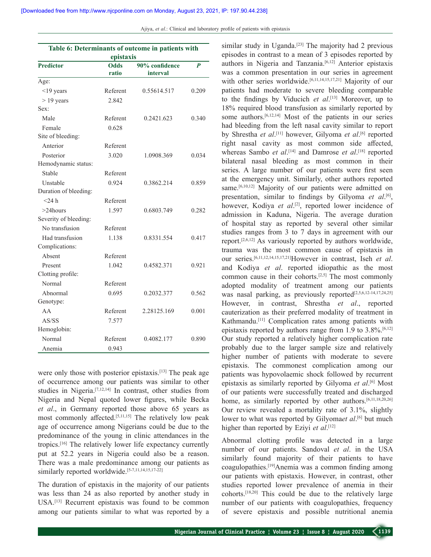| Table 6: Determinants of outcome in patients with<br>epistaxis |          |             |       |
|----------------------------------------------------------------|----------|-------------|-------|
|                                                                |          |             |       |
|                                                                | ratio    | interval    |       |
| Age:                                                           |          |             |       |
| $\leq$ 19 years                                                | Referent | 0.55614.517 | 0.209 |
| $> 19$ years                                                   | 2.842    |             |       |
| Sex:                                                           |          |             |       |
| Male                                                           | Referent | 0.2421.623  | 0.340 |
| Female                                                         | 0.628    |             |       |
| Site of bleeding:                                              |          |             |       |
| Anterior                                                       | Referent |             |       |
| Posterior                                                      | 3.020    | 1.0908.369  | 0.034 |
| Hemodynamic status:                                            |          |             |       |
| Stable                                                         | Referent |             |       |
| Unstable                                                       | 0.924    | 0.3862.214  | 0.859 |
| Duration of bleeding:                                          |          |             |       |
| $<$ 24 h                                                       | Referent |             |       |
| $>24$ hours                                                    | 1.597    | 0.6803.749  | 0.282 |
| Severity of bleeding:                                          |          |             |       |
| No transfusion                                                 | Referent |             |       |
| Had transfusion                                                | 1.138    | 0.8331.554  | 0.417 |
| Complications:                                                 |          |             |       |
| Absent                                                         | Referent |             |       |
| Present                                                        | 1.042    | 0.4582.371  | 0.921 |
| Clotting profile:                                              |          |             |       |
| Normal                                                         | Referent |             |       |
| Abnormal                                                       | 0.695    | 0.2032.377  | 0.562 |
| Genotype:                                                      |          |             |       |
| AA                                                             | Referent | 2.28125.169 | 0.001 |
| AS/SS                                                          | 7.577    |             |       |
| Hemoglobin:                                                    |          |             |       |
| Normal                                                         | Referent | 0.4082.177  | 0.890 |
| Anemia                                                         | 0.943    |             |       |

were only those with posterior epistaxis.<sup>[13]</sup> The peak age of occurrence among our patients was similar to other studies in Nigeria.[7,12,14] In contrast, other studies from Nigeria and Nepal quoted lower figures, while Becka *et al*., in Germany reported those above 65 years as most commonly affected.<sup>[5,11,15]</sup> The relatively low peak age of occurrence among Nigerians could be due to the predominance of the young in clinic attendances in the tropics.[16] The relatively lower life expectancy currently put at 52.2 years in Nigeria could also be a reason. There was a male predominance among our patients as similarly reported worldwide.<sup>[5-7,11,14,15,17-22]</sup>

The duration of epistaxis in the majority of our patients was less than 24 as also reported by another study in USA.[13] Recurrent epistaxis was found to be common among our patients similar to what was reported by a similar study in Uganda.<sup>[23]</sup> The majority had 2 previous episodes in contrast to a mean of 3 episodes reported by authors in Nigeria and Tanzania.<sup>[6,12]</sup> Anterior epistaxis was a common presentation in our series in agreement with other series worldwide.<sup>[6,11,14,15,17,21]</sup> Majority of our patients had moderate to severe bleeding comparable to the findings by Viducich *et al*. [13] Moreover, up to 18% required blood transfusion as similarly reported by some authors.[6,12,14] Most of the patients in our series had bleeding from the left nasal cavity similar to report by Shrestha *et al*. [11] however, Gilyoma *et al*. [6] reported right nasal cavity as most common side affected, whereas Sambo *et al*.<sup>[14]</sup> and Damrose *et al*.<sup>[18]</sup> reported bilateral nasal bleeding as most common in their series. A large number of our patients were first seen at the emergency unit. Similarly, other authors reported same.<sup>[6,10,12]</sup> Majority of our patients were admitted on presentation, similar to findings by Gilyoma *et al*. [6], however, Kodiya et al.<sup>[2]</sup>, reported lower incidence of admission in Kaduna, Nigeria. The average duration of hospital stay as reported by several other similar studies ranges from 3 to 7 days in agreement with our report.[2,6,12] As variously reported by authors worldwide, trauma was the most common cause of epistaxis in our series.[6,11,12,14,15,17,21]However in contrast, Iseh *et al*. and Kodiya *et al*. reported idiopathic as the most common cause in their cohorts.[2,5] The most commonly adopted modality of treatment among our patients was nasal parking, as previously reported<sup>[2,5,6,12-14,17,24,25]</sup> However, in contrast, Shrestha *et al*., reported cauterization as their preferred modality of treatment in Kathmandu.[11] Complication rates among patients with epistaxis reported by authors range from 1.9 to  $3.8\%$ .<sup>[6,12]</sup> Our study reported a relatively higher complication rate probably due to the larger sample size and relatively higher number of patients with moderate to severe epistaxis. The commonest complication among our patients was hypovolaemic shock followed by recurrent epistaxis as similarly reported by Gilyoma *et al*. [6] Most of our patients were successfully treated and discharged home, as similarly reported by other authors.<sup>[6,11,18,20,26]</sup> Our review revealed a mortality rate of 3.1%, slightly lower to what was reported by Gilyomaet al.<sup>[6]</sup> but much higher than reported by Eziyi *et al*. [12]

Abnormal clotting profile was detected in a large number of our patients. Sandoval *et al*. in the USA similarly found majority of their patients to have coagulopathies.[19]Anemia was a common finding among our patients with epistaxis. However, in contrast, other studies reported lower prevalence of anemia in their cohorts.[18,20] This could be due to the relatively large number of our patients with coagulopathies, frequency of severe epistaxis and possible nutritional anemia